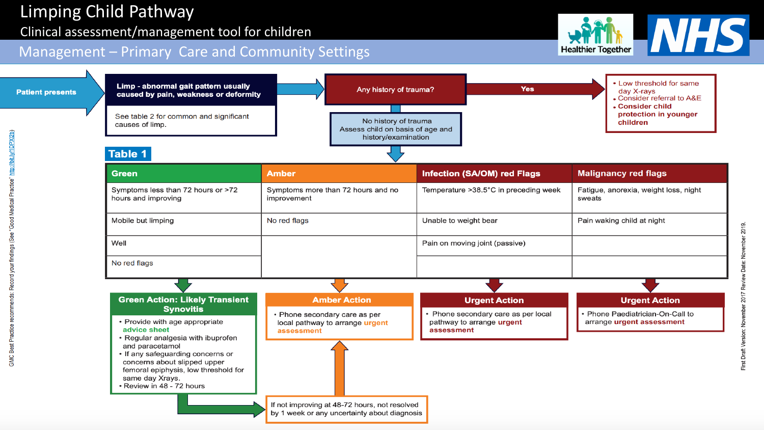## Clinical assessment/management tool for children

## **MHS Healthier Together**

## Management – Primary Care and Community Settings